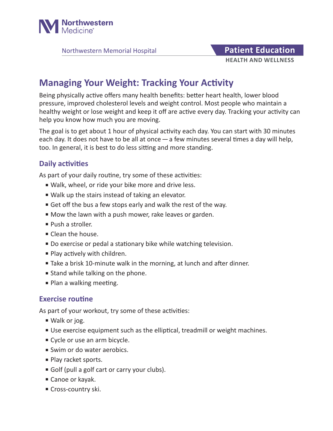

Northwestern Memorial Hospital **Patient Education** 

# **HEALTH AND WELLNESS**

## **Managing Your Weight: Tracking Your Activity**

Being physically active offers many health benefits: better heart health, lower blood pressure, improved cholesterol levels and weight control. Most people who maintain a healthy weight or lose weight and keep it off are active every day. Tracking your activity can help you know how much you are moving.

The goal is to get about 1 hour of physical activity each day. You can start with 30 minutes each day. It does not have to be all at once—a few minutes several times a day will help, too. In general, it is best to do less sitting and more standing.

### **Daily activities**

As part of your daily routine, try some of these activities:

- Walk, wheel, or ride your bike more and drive less.
- Walk up the stairs instead of taking an elevator.
- Get off the bus a few stops early and walk the rest of the way.
- Mow the lawn with a push mower, rake leaves or garden.
- Push a stroller.
- Clean the house.
- Do exercise or pedal a stationary bike while watching television.
- Play actively with children.
- Take a brisk 10-minute walk in the morning, at lunch and after dinner.
- Stand while talking on the phone.
- Plan a walking meeting.

#### **Exercise routine**

As part of your workout, try some of these activities:

- Walk or jog.
- Use exercise equipment such as the elliptical, treadmill or weight machines.
- Cycle or use an arm bicycle.
- Swim or do water aerobics.
- Play racket sports.
- Golf (pull a golf cart or carry your clubs).
- Canoe or kayak.
- Cross-country ski.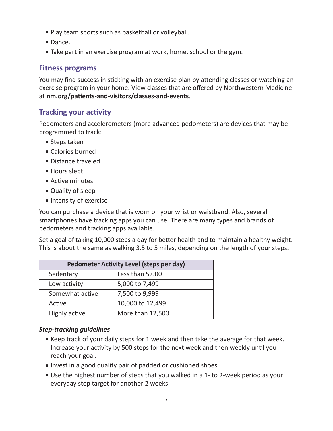- Play team sports such as basketball or volleyball.
- Dance.
- Take part in an exercise program at work, home, school or the gym.

#### **Fitness programs**

You may find success in sticking with an exercise plan by attending classes or watching an exercise program in your home. View classes that are offered by Northwestern Medicine at **nm.org/patients-and-visitors/classes-and-events**.

#### **Tracking your activity**

Pedometers and accelerometers (more advanced pedometers) are devices that may be programmed to track:

- Steps taken
- Calories burned
- Distance traveled
- Hours slept
- Active minutes
- Quality of sleep
- Intensity of exercise

You can purchase a device that is worn on your wrist or waistband. Also, several smartphones have tracking apps you can use. There are many types and brands of pedometers and tracking apps available.

Set a goal of taking 10,000 steps a day for better health and to maintain a healthy weight. This is about the same as walking 3.5 to 5 miles, depending on the length of your steps.

| <b>Pedometer Activity Level (steps per day)</b> |                  |
|-------------------------------------------------|------------------|
| Sedentary                                       | Less than 5,000  |
| Low activity                                    | 5,000 to 7,499   |
| Somewhat active                                 | 7,500 to 9,999   |
| Active                                          | 10,000 to 12,499 |
| Highly active                                   | More than 12,500 |

#### *Step-tracking guidelines*

- Keep track of your daily steps for 1 week and then take the average for that week. Increase your activity by 500 steps for the next week and then weekly until you reach your goal.
- Invest in a good quality pair of padded or cushioned shoes.
- Use the highest number of steps that you walked in a 1- to 2-week period as your everyday step target for another 2 weeks.